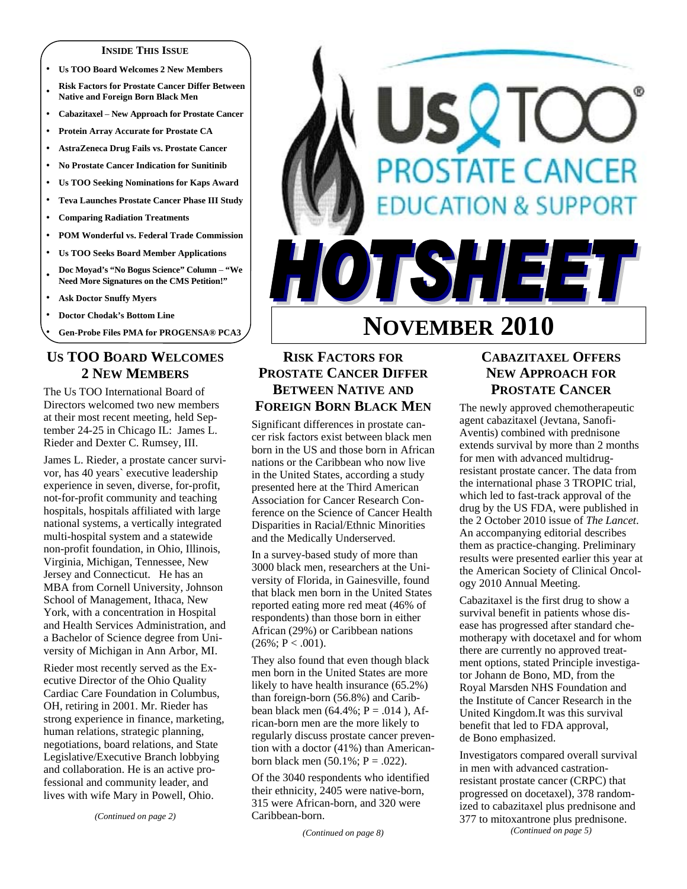#### **INSIDE THIS ISSUE**

- y **Us TOO Board Welcomes 2 New Members**
- **Risk Factors for Prostate Cancer Differ Between Native and Foreign Born Black Men**
- y **Cabazitaxel New Approach for Prostate Cancer**
- Protein Array Accurate for Prostate CA
- y **AstraZeneca Drug Fails vs. Prostate Cancer**
- **No Prostate Cancer Indication for Sunitinib**
- Us TOO Seeking Nominations for Kaps Award
- y **Teva Launches Prostate Cancer Phase III Study**
- **Comparing Radiation Treatments**
- y **POM Wonderful vs. Federal Trade Commission**
- y **Us TOO Seeks Board Member Applications**
- <sup>y</sup>**Doc Moyad's "No Bogus Science" Column "We Need More Signatures on the CMS Petition!"**
- **Ask Doctor Snuffy Myers**
- **Doctor Chodak's Bottom Line**
- y **Gen-Probe Files PMA for PROGENSA® PCA3**

#### **US TOO BOARD WELCOMES 2 NEW MEMBERS**

The Us TOO International Board of Directors welcomed two new members at their most recent meeting, held September 24-25 in Chicago IL: James L. Rieder and Dexter C. Rumsey, III.

James L. Rieder, a prostate cancer survivor, has 40 years` executive leadership experience in seven, diverse, for-profit, not-for-profit community and teaching hospitals, hospitals affiliated with large national systems, a vertically integrated multi-hospital system and a statewide non-profit foundation, in Ohio, Illinois, Virginia, Michigan, Tennessee, New Jersey and Connecticut. He has an MBA from Cornell University, Johnson School of Management, Ithaca, New York, with a concentration in Hospital and Health Services Administration, and a Bachelor of Science degree from University of Michigan in Ann Arbor, MI.

Rieder most recently served as the Executive Director of the Ohio Quality Cardiac Care Foundation in Columbus, OH, retiring in 2001. Mr. Rieder has strong experience in finance, marketing, human relations, strategic planning, negotiations, board relations, and State Legislative/Executive Branch lobbying and collaboration. He is an active professional and community leader, and lives with wife Mary in Powell, Ohio.

*(Continued on page 2)* 

# **SQTC PROSTATE CANCER CATION & SUPPORT** TISHEET **NOVEMBER 2010**

# **RISK FACTORS FOR PROSTATE CANCER DIFFER BETWEEN NATIVE AND FOREIGN BORN BLACK MEN**

Significant differences in prostate cancer risk factors exist between black men born in the US and those born in African nations or the Caribbean who now live in the United States, according a study presented here at the Third American Association for Cancer Research Conference on the Science of Cancer Health Disparities in Racial/Ethnic Minorities and the Medically Underserved.

In a survey-based study of more than 3000 black men, researchers at the University of Florida, in Gainesville, found that black men born in the United States reported eating more red meat (46% of respondents) than those born in either African (29%) or Caribbean nations  $(26\%; P < .001)$ .

They also found that even though black men born in the United States are more likely to have health insurance (65.2%) than foreign-born (56.8%) and Caribbean black men  $(64.4\%; P = .014)$ , African-born men are the more likely to regularly discuss prostate cancer prevention with a doctor (41%) than Americanborn black men  $(50.1\%; P = .022)$ .

Of the 3040 respondents who identified their ethnicity, 2405 were native-born, 315 were African-born, and 320 were Caribbean-born.

*(Continued on page 8)* 

#### **CABAZITAXEL OFFERS NEW APPROACH FOR PROSTATE CANCER**

The newly approved chemotherapeutic agent cabazitaxel (Jevtana, Sanofi-Aventis) combined with prednisone extends survival by more than 2 months for men with advanced multidrugresistant prostate cancer. The data from the international phase 3 TROPIC trial, which led to fast-track approval of the drug by the US FDA, were published in the 2 October 2010 issue of *The Lancet*. An accompanying editorial describes them as practice-changing. Preliminary results were presented earlier this year at the American Society of Clinical Oncology 2010 Annual Meeting.

Cabazitaxel is the first drug to show a survival benefit in patients whose disease has progressed after standard chemotherapy with docetaxel and for whom there are currently no approved treatment options, stated Principle investigator Johann de Bono, MD, from the Royal Marsden NHS Foundation and the Institute of Cancer Research in the United Kingdom.It was this survival benefit that led to FDA approval, de Bono emphasized.

Investigators compared overall survival in men with advanced castrationresistant prostate cancer (CRPC) that progressed on docetaxel), 378 randomized to cabazitaxel plus prednisone and 377 to mitoxantrone plus prednisone. *(Continued on page 5)*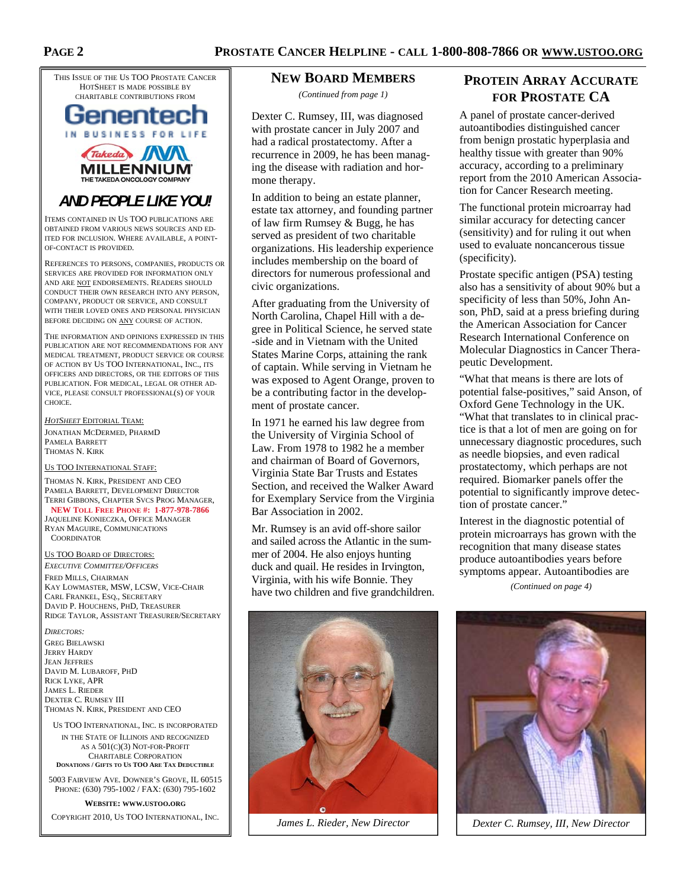THIS ISSUE OF THE US TOO PROSTATE CANCER HOTSHEET IS MADE POSSIBLE BY CHARITABLE CONTRIBUTIONS FROM



# **MILLENNIL**

# *AND PEOPLE LIKE YOU!*

ITEMS CONTAINED IN US TOO PUBLICATIONS ARE OBTAINED FROM VARIOUS NEWS SOURCES AND ED-ITED FOR INCLUSION. WHERE AVAILABLE, A POINT-OF-CONTACT IS PROVIDED.

REFERENCES TO PERSONS, COMPANIES, PRODUCTS OR SERVICES ARE PROVIDED FOR INFORMATION ONLY AND ARE NOT ENDORSEMENTS. READERS SHOULD CONDUCT THEIR OWN RESEARCH INTO ANY PERSON, COMPANY, PRODUCT OR SERVICE, AND CONSULT WITH THEIR LOVED ONES AND PERSONAL PHYSICIAN BEFORE DECIDING ON ANY COURSE OF ACTION.

THE INFORMATION AND OPINIONS EXPRESSED IN THIS PUBLICATION ARE NOT RECOMMENDATIONS FOR ANY MEDICAL TREATMENT, PRODUCT SERVICE OR COURSE OF ACTION BY US TOO INTERNATIONAL, INC., ITS OFFICERS AND DIRECTORS, OR THE EDITORS OF THIS PUBLICATION. FOR MEDICAL, LEGAL OR OTHER AD-VICE, PLEASE CONSULT PROFESSIONAL(S) OF YOUR **CHOICE** 

*HOTSHEET* EDITORIAL TEAM: JONATHAN MCDERMED, PHARMD PAMELA BARRETT THOMAS N. KIRK

#### US TOO INTERNATIONAL STAFF:

THOMAS N. KIRK, PRESIDENT AND CEO PAMELA BARRETT, DEVELOPMENT DIRECTOR TERRI GIBBONS, CHAPTER SVCS PROG MANAGER, **NEW TOLL FREE PHONE #: 1-877-978-7866** JAQUELINE KONIECZKA, OFFICE MANAGER RYAN MAGUIRE, COMMUNICATIONS

**COORDINATOR** 

#### US TOO BOARD OF DIRECTORS:

*EXECUTIVE COMMITTEE/OFFICERS* FRED MILLS, CHAIRMAN KAY LOWMASTER, MSW, LCSW, VICE-CHAIR CARL FRANKEL, ESQ., SECRETARY DAVID P. HOUCHENS, PHD, TREASURER RIDGE TAYLOR, ASSISTANT TREASURER/SECRETARY

*DIRECTORS:*  GREG BIELAWSKI JERRY HARDY JEAN JEFFRIES DAVID M. LUBAROFF, PHD RICK LYKE, APR JAMES L. RIEDER DEXTER C. RUMSEY III THOMAS N. KIRK, PRESIDENT AND CEO

US TOO INTERNATIONAL, INC. IS INCORPORATED IN THE STATE OF ILLINOIS AND RECOGNIZED

AS A 501(C)(3) NOT-FOR-PROFIT CHARITABLE CORPORATION **DONATIONS / GIFTS TO US TOO ARE TAX DEDUCTIBLE**

5003 FAIRVIEW AVE. DOWNER'S GROVE, IL 60515 PHONE: (630) 795-1002 / FAX: (630) 795-1602

**WEBSITE: WWW.USTOO.ORG**

COPYRIGHT 2010, US TOO INTERNATIONAL, INC. *James L. Rieder, New Director Dexter C. Rumsey, III, New Director* 

#### **NEW BOARD MEMBERS**

*(Continued from page 1)* 

Dexter C. Rumsey, III, was diagnosed with prostate cancer in July 2007 and had a radical prostatectomy. After a recurrence in 2009, he has been managing the disease with radiation and hormone therapy.

In addition to being an estate planner, estate tax attorney, and founding partner of law firm Rumsey & Bugg, he has served as president of two charitable organizations. His leadership experience includes membership on the board of directors for numerous professional and civic organizations.

After graduating from the University of North Carolina, Chapel Hill with a degree in Political Science, he served state -side and in Vietnam with the United States Marine Corps, attaining the rank of captain. While serving in Vietnam he was exposed to Agent Orange, proven to be a contributing factor in the development of prostate cancer.

In 1971 he earned his law degree from the University of Virginia School of Law. From 1978 to 1982 he a member and chairman of Board of Governors, Virginia State Bar Trusts and Estates Section, and received the Walker Award for Exemplary Service from the Virginia Bar Association in 2002.

Mr. Rumsey is an avid off-shore sailor and sailed across the Atlantic in the summer of 2004. He also enjoys hunting duck and quail. He resides in Irvington, Virginia, with his wife Bonnie. They have two children and five grandchildren.



*James L. Rieder, New Director* 

## **PROTEIN ARRAY ACCURATE FOR PROSTATE CA**

A panel of prostate cancer-derived autoantibodies distinguished cancer from benign prostatic hyperplasia and healthy tissue with greater than 90% accuracy, according to a preliminary report from the 2010 American Association for Cancer Research meeting.

The functional protein microarray had similar accuracy for detecting cancer (sensitivity) and for ruling it out when used to evaluate noncancerous tissue (specificity).

Prostate specific antigen (PSA) testing also has a sensitivity of about 90% but a specificity of less than 50%, John Anson, PhD, said at a press briefing during the American Association for Cancer Research International Conference on Molecular Diagnostics in Cancer Therapeutic Development.

"What that means is there are lots of potential false-positives," said Anson, of Oxford Gene Technology in the UK. "What that translates to in clinical practice is that a lot of men are going on for unnecessary diagnostic procedures, such as needle biopsies, and even radical prostatectomy, which perhaps are not required. Biomarker panels offer the potential to significantly improve detection of prostate cancer."

Interest in the diagnostic potential of protein microarrays has grown with the recognition that many disease states produce autoantibodies years before symptoms appear. Autoantibodies are

*(Continued on page 4)* 

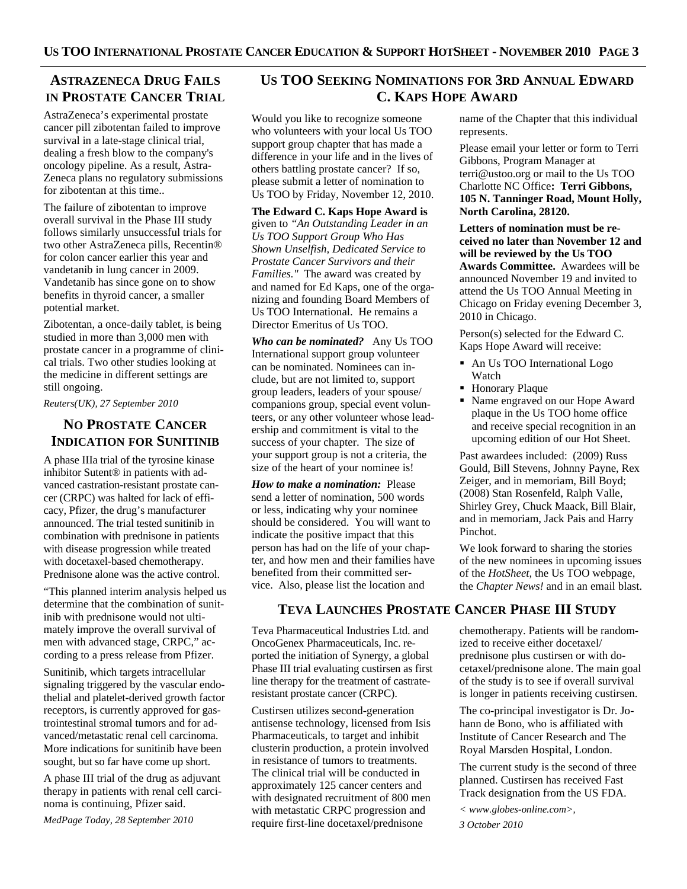# **ASTRAZENECA DRUG FAILS IN PROSTATE CANCER TRIAL**

AstraZeneca's experimental prostate cancer pill zibotentan failed to improve survival in a late-stage clinical trial, dealing a fresh blow to the company's oncology pipeline. As a result, Astra-Zeneca plans no regulatory submissions for zibotentan at this time..

The failure of zibotentan to improve overall survival in the Phase III study follows similarly unsuccessful trials for two other AstraZeneca pills, Recentin® for colon cancer earlier this year and vandetanib in lung cancer in 2009. Vandetanib has since gone on to show benefits in thyroid cancer, a smaller potential market.

Zibotentan, a once-daily tablet, is being studied in more than 3,000 men with prostate cancer in a programme of clinical trials. Two other studies looking at the medicine in different settings are still ongoing.

*Reuters(UK), 27 September 2010* 

## **NO PROSTATE CANCER INDICATION FOR SUNITINIB**

A phase IIIa trial of the tyrosine kinase inhibitor Sutent® in patients with advanced castration-resistant prostate cancer (CRPC) was halted for lack of efficacy, Pfizer, the drug's manufacturer announced. The trial tested sunitinib in combination with prednisone in patients with disease progression while treated with docetaxel-based chemotherapy. Prednisone alone was the active control.

"This planned interim analysis helped us determine that the combination of sunitinib with prednisone would not ultimately improve the overall survival of men with advanced stage, CRPC," according to a press release from Pfizer.

Sunitinib, which targets intracellular signaling triggered by the vascular endothelial and platelet-derived growth factor receptors, is currently approved for gastrointestinal stromal tumors and for advanced/metastatic renal cell carcinoma. More indications for sunitinib have been sought, but so far have come up short.

A phase III trial of the drug as adjuvant therapy in patients with renal cell carcinoma is continuing, Pfizer said. *MedPage Today, 28 September 2010* 

#### **US TOO SEEKING NOMINATIONS FOR 3RD ANNUAL EDWARD C. KAPS HOPE AWARD**

Would you like to recognize someone who volunteers with your local Us TOO support group chapter that has made a difference in your life and in the lives of others battling prostate cancer? If so, please submit a letter of nomination to Us TOO by Friday, November 12, 2010.

**The Edward C. Kaps Hope Award is**  given to *"An Outstanding Leader in an Us TOO Support Group Who Has Shown Unselfish, Dedicated Service to Prostate Cancer Survivors and their Families."* The award was created by and named for Ed Kaps, one of the organizing and founding Board Members of Us TOO International. He remains a Director Emeritus of Us TOO.

*Who can be nominated?* Any Us TOO International support group volunteer can be nominated. Nominees can include, but are not limited to, support group leaders, leaders of your spouse/ companions group, special event volunteers, or any other volunteer whose leadership and commitment is vital to the success of your chapter. The size of your support group is not a criteria, the size of the heart of your nominee is!

*How to make a nomination:* Please send a letter of nomination, 500 words or less, indicating why your nominee should be considered. You will want to indicate the positive impact that this person has had on the life of your chapter, and how men and their families have benefited from their committed service. Also, please list the location and

#### **TEVA LAUNCHES PROSTATE CANCER PHASE III STUDY**

Teva Pharmaceutical Industries Ltd. and OncoGenex Pharmaceuticals, Inc. reported the initiation of Synergy, a global Phase III trial evaluating custirsen as first line therapy for the treatment of castrateresistant prostate cancer (CRPC).

Custirsen utilizes second-generation antisense technology, licensed from Isis Pharmaceuticals, to target and inhibit clusterin production, a protein involved in resistance of tumors to treatments. The clinical trial will be conducted in approximately 125 cancer centers and with designated recruitment of 800 men with metastatic CRPC progression and require first-line docetaxel/prednisone

name of the Chapter that this individual represents.

Please email your letter or form to Terri Gibbons, Program Manager at terri@ustoo.org or mail to the Us TOO Charlotte NC Office**: Terri Gibbons, 105 N. Tanninger Road, Mount Holly, North Carolina, 28120.** 

**Letters of nomination must be received no later than November 12 and will be reviewed by the Us TOO Awards Committee.** Awardees will be announced November 19 and invited to attend the Us TOO Annual Meeting in Chicago on Friday evening December 3, 2010 in Chicago.

Person(s) selected for the Edward C. Kaps Hope Award will receive:

- An Us TOO International Logo Watch
- **Honorary Plaque**
- Name engraved on our Hope Award plaque in the Us TOO home office and receive special recognition in an upcoming edition of our Hot Sheet.

Past awardees included: (2009) Russ Gould, Bill Stevens, Johnny Payne, Rex Zeiger, and in memoriam, Bill Boyd; (2008) Stan Rosenfeld, Ralph Valle, Shirley Grey, Chuck Maack, Bill Blair, and in memoriam, Jack Pais and Harry Pinchot.

We look forward to sharing the stories of the new nominees in upcoming issues of the *HotSheet*, the Us TOO webpage, the *Chapter News!* and in an email blast.

chemotherapy. Patients will be randomized to receive either docetaxel/ prednisone plus custirsen or with docetaxel/prednisone alone. The main goal of the study is to see if overall survival is longer in patients receiving custirsen.

The co-principal investigator is Dr. Johann de Bono, who is affiliated with Institute of Cancer Research and The Royal Marsden Hospital, London.

The current study is the second of three planned. Custirsen has received Fast Track designation from the US FDA.

*< www.globes-online.com>,* 

*3 October 2010*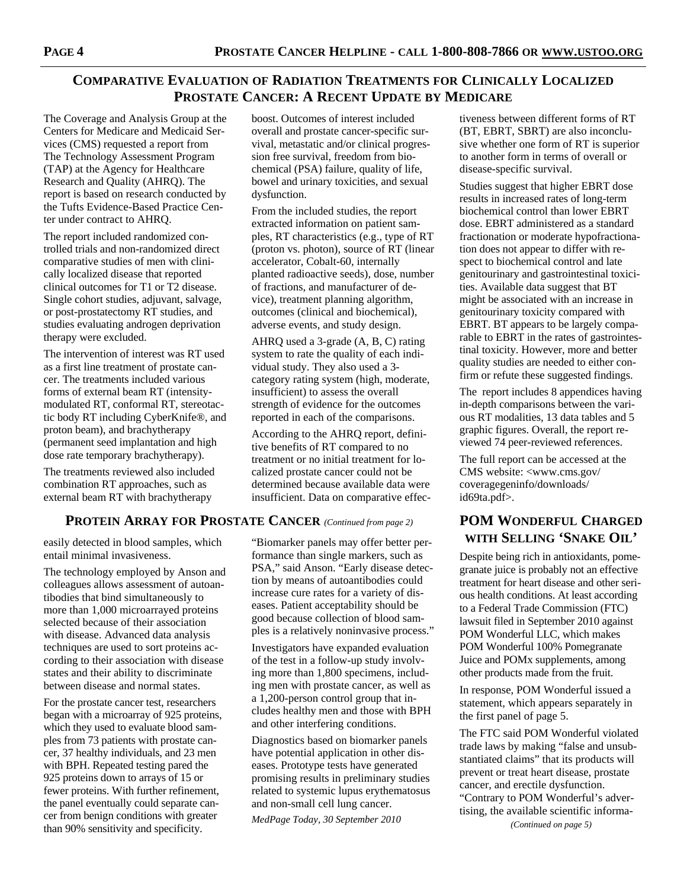#### **COMPARATIVE EVALUATION OF RADIATION TREATMENTS FOR CLINICALLY LOCALIZED PROSTATE CANCER: A RECENT UPDATE BY MEDICARE**

The Coverage and Analysis Group at the Centers for Medicare and Medicaid Services (CMS) requested a report from The Technology Assessment Program (TAP) at the Agency for Healthcare Research and Quality (AHRQ). The report is based on research conducted by the Tufts Evidence-Based Practice Center under contract to AHRQ.

The report included randomized controlled trials and non-randomized direct comparative studies of men with clinically localized disease that reported clinical outcomes for T1 or T2 disease. Single cohort studies, adjuvant, salvage, or post-prostatectomy RT studies, and studies evaluating androgen deprivation therapy were excluded.

The intervention of interest was RT used as a first line treatment of prostate cancer. The treatments included various forms of external beam RT (intensitymodulated RT, conformal RT, stereotactic body RT including CyberKnife®, and proton beam), and brachytherapy (permanent seed implantation and high dose rate temporary brachytherapy).

The treatments reviewed also included combination RT approaches, such as external beam RT with brachytherapy

#### **PROTEIN ARRAY FOR PROSTATE CANCER** *(Continued from page 2)*

easily detected in blood samples, which entail minimal invasiveness.

The technology employed by Anson and colleagues allows assessment of autoantibodies that bind simultaneously to more than 1,000 microarrayed proteins selected because of their association with disease. Advanced data analysis techniques are used to sort proteins according to their association with disease states and their ability to discriminate between disease and normal states.

For the prostate cancer test, researchers began with a microarray of 925 proteins, which they used to evaluate blood samples from 73 patients with prostate cancer, 37 healthy individuals, and 23 men with BPH. Repeated testing pared the 925 proteins down to arrays of 15 or fewer proteins. With further refinement, the panel eventually could separate cancer from benign conditions with greater than 90% sensitivity and specificity.

boost. Outcomes of interest included overall and prostate cancer-specific survival, metastatic and/or clinical progression free survival, freedom from biochemical (PSA) failure, quality of life, bowel and urinary toxicities, and sexual dysfunction.

From the included studies, the report extracted information on patient samples, RT characteristics (e.g., type of RT (proton vs. photon), source of RT (linear accelerator, Cobalt-60, internally planted radioactive seeds), dose, number of fractions, and manufacturer of device), treatment planning algorithm, outcomes (clinical and biochemical), adverse events, and study design.

AHRQ used a 3-grade (A, B, C) rating system to rate the quality of each individual study. They also used a 3 category rating system (high, moderate, insufficient) to assess the overall strength of evidence for the outcomes reported in each of the comparisons.

According to the AHRQ report, definitive benefits of RT compared to no treatment or no initial treatment for localized prostate cancer could not be determined because available data were insufficient. Data on comparative effec-

"Biomarker panels may offer better performance than single markers, such as PSA," said Anson. "Early disease detection by means of autoantibodies could increase cure rates for a variety of diseases. Patient acceptability should be good because collection of blood samples is a relatively noninvasive process."

Investigators have expanded evaluation of the test in a follow-up study involving more than 1,800 specimens, including men with prostate cancer, as well as a 1,200-person control group that includes healthy men and those with BPH and other interfering conditions.

Diagnostics based on biomarker panels have potential application in other diseases. Prototype tests have generated promising results in preliminary studies related to systemic lupus erythematosus and non-small cell lung cancer.

*MedPage Today, 30 September 2010* 

tiveness between different forms of RT (BT, EBRT, SBRT) are also inconclusive whether one form of RT is superior to another form in terms of overall or disease-specific survival.

Studies suggest that higher EBRT dose results in increased rates of long-term biochemical control than lower EBRT dose. EBRT administered as a standard fractionation or moderate hypofractionation does not appear to differ with respect to biochemical control and late genitourinary and gastrointestinal toxicities. Available data suggest that BT might be associated with an increase in genitourinary toxicity compared with EBRT. BT appears to be largely comparable to EBRT in the rates of gastrointestinal toxicity. However, more and better quality studies are needed to either confirm or refute these suggested findings.

The report includes 8 appendices having in-depth comparisons between the various RT modalities, 13 data tables and 5 graphic figures. Overall, the report reviewed 74 peer-reviewed references.

The full report can be accessed at the CMS website: <www.cms.gov/ coveragegeninfo/downloads/ id69ta.pdf>.

## **POM WONDERFUL CHARGED WITH SELLING 'SNAKE OIL'**

Despite being rich in antioxidants, pomegranate juice is probably not an effective treatment for heart disease and other serious health conditions. At least according to a Federal Trade Commission (FTC) lawsuit filed in September 2010 against POM Wonderful LLC, which makes POM Wonderful 100% Pomegranate Juice and POMx supplements, among other products made from the fruit.

In response, POM Wonderful issued a statement, which appears separately in the first panel of page 5.

The FTC said POM Wonderful violated trade laws by making "false and unsubstantiated claims" that its products will prevent or treat heart disease, prostate cancer, and erectile dysfunction. "Contrary to POM Wonderful's advertising, the available scientific informa- *(Continued on page 5)*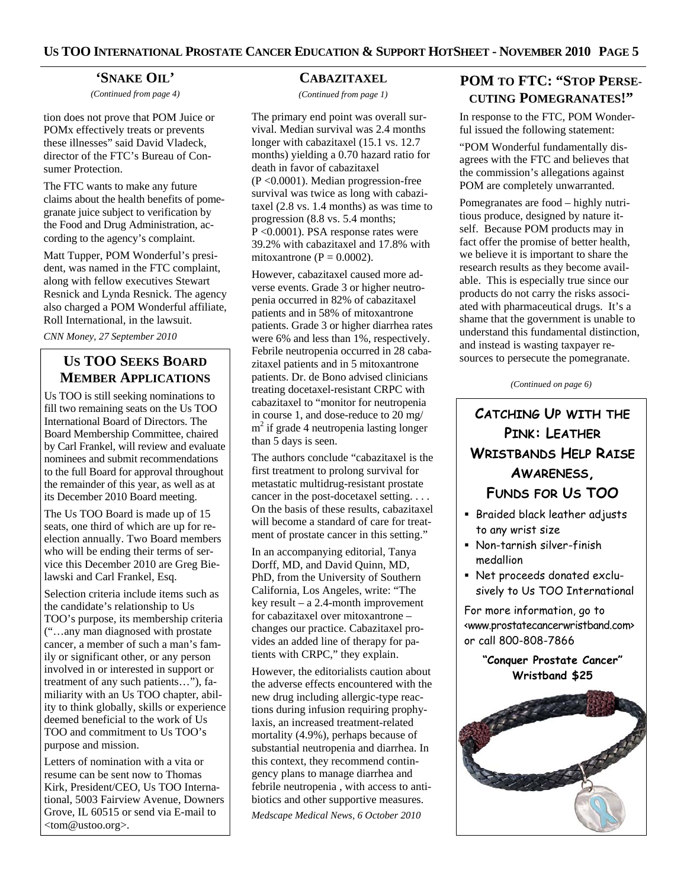#### **'SNAKE OIL'**

*(Continued from page 4)* 

tion does not prove that POM Juice or POMx effectively treats or prevents these illnesses" said David Vladeck, director of the FTC's Bureau of Consumer Protection.

The FTC wants to make any future claims about the health benefits of pomegranate juice subject to verification by the Food and Drug Administration, according to the agency's complaint.

Matt Tupper, POM Wonderful's president, was named in the FTC complaint, along with fellow executives Stewart Resnick and Lynda Resnick. The agency also charged a POM Wonderful affiliate, Roll International, in the lawsuit.

*CNN Money, 27 September 2010* 

## **US TOO SEEKS BOARD MEMBER APPLICATIONS**

Us TOO is still seeking nominations to fill two remaining seats on the Us TOO International Board of Directors. The Board Membership Committee, chaired by Carl Frankel, will review and evaluate nominees and submit recommendations to the full Board for approval throughout the remainder of this year, as well as at its December 2010 Board meeting.

The Us TOO Board is made up of 15 seats, one third of which are up for reelection annually. Two Board members who will be ending their terms of service this December 2010 are Greg Bielawski and Carl Frankel, Esq.

Selection criteria include items such as the candidate's relationship to Us TOO's purpose, its membership criteria ("…any man diagnosed with prostate cancer, a member of such a man's family or significant other, or any person involved in or interested in support or treatment of any such patients…"), familiarity with an Us TOO chapter, ability to think globally, skills or experience deemed beneficial to the work of Us TOO and commitment to Us TOO's purpose and mission.

Letters of nomination with a vita or resume can be sent now to Thomas Kirk, President/CEO, Us TOO International, 5003 Fairview Avenue, Downers Grove, IL 60515 or send via E-mail to <tom@ustoo.org>.

#### **CABAZITAXEL**

*(Continued from page 1)* 

The primary end point was overall survival. Median survival was 2.4 months longer with cabazitaxel (15.1 vs. 12.7 months) yielding a 0.70 hazard ratio for death in favor of cabazitaxel (P <0.0001). Median progression-free survival was twice as long with cabazitaxel (2.8 vs. 1.4 months) as was time to progression (8.8 vs. 5.4 months; P <0.0001). PSA response rates were 39.2% with cabazitaxel and 17.8% with mitoxantrone ( $P = 0.0002$ ).

However, cabazitaxel caused more adverse events. Grade 3 or higher neutropenia occurred in 82% of cabazitaxel patients and in 58% of mitoxantrone patients. Grade 3 or higher diarrhea rates were 6% and less than 1%, respectively. Febrile neutropenia occurred in 28 cabazitaxel patients and in 5 mitoxantrone patients. Dr. de Bono advised clinicians treating docetaxel-resistant CRPC with cabazitaxel to "monitor for neutropenia in course 1, and dose-reduce to 20 mg/ m<sup>2</sup> if grade 4 neutropenia lasting longer than 5 days is seen.

The authors conclude "cabazitaxel is the first treatment to prolong survival for metastatic multidrug-resistant prostate cancer in the post-docetaxel setting. . . . On the basis of these results, cabazitaxel will become a standard of care for treatment of prostate cancer in this setting."

In an accompanying editorial, Tanya Dorff, MD, and David Quinn, MD, PhD, from the University of Southern California, Los Angeles, write: "The key result – a 2.4-month improvement for cabazitaxel over mitoxantrone – changes our practice. Cabazitaxel provides an added line of therapy for patients with CRPC," they explain.

However, the editorialists caution about the adverse effects encountered with the new drug including allergic-type reactions during infusion requiring prophylaxis, an increased treatment-related mortality (4.9%), perhaps because of substantial neutropenia and diarrhea. In this context, they recommend contingency plans to manage diarrhea and febrile neutropenia , with access to antibiotics and other supportive measures.

*Medscape Medical News, 6 October 2010* 

# **POM TO FTC: "STOP PERSE-CUTING POMEGRANATES!"**

In response to the FTC, POM Wonderful issued the following statement:

"POM Wonderful fundamentally disagrees with the FTC and believes that the commission's allegations against POM are completely unwarranted.

Pomegranates are food – highly nutritious produce, designed by nature itself. Because POM products may in fact offer the promise of better health, we believe it is important to share the research results as they become available. This is especially true since our products do not carry the risks associated with pharmaceutical drugs. It's a shame that the government is unable to understand this fundamental distinction, and instead is wasting taxpayer resources to persecute the pomegranate.

*(Continued on page 6)* 

# **CATCHING UP WITH THE PINK: LEATHER WRISTBANDS HELP RAISE AWARENESS, FUNDS FOR US TOO**

- **Braided black leather adjusts** to any wrist size
- Non-tarnish silver-finish medallion
- Net proceeds donated exclusively to Us TOO International

For more information, go to <www.prostatecancerwristband.com> or call 800-808-7866

> **"Conquer Prostate Cancer" Wristband \$25**

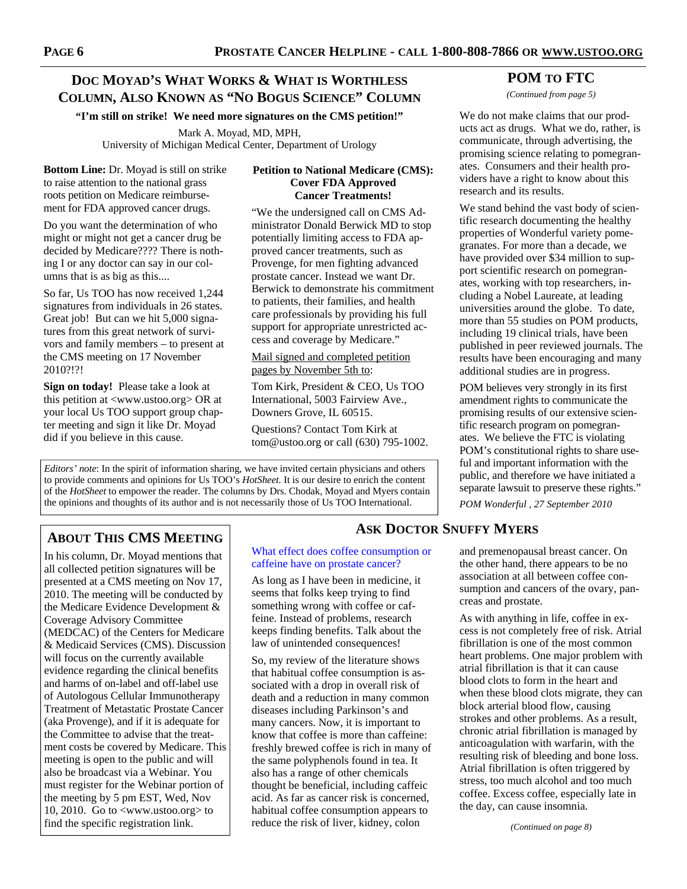#### **DOC MOYAD'S WHAT WORKS & WHAT IS WORTHLESS COLUMN, ALSO KNOWN AS "NO BOGUS SCIENCE" COLUMN**

**"I'm still on strike! We need more signatures on the CMS petition!"**

Mark A. Moyad, MD, MPH, University of Michigan Medical Center, Department of Urology

**Bottom Line:** Dr. Moyad is still on strike to raise attention to the national grass roots petition on Medicare reimbursement for FDA approved cancer drugs.

Do you want the determination of who might or might not get a cancer drug be decided by Medicare???? There is nothing I or any doctor can say in our columns that is as big as this....

So far, Us TOO has now received 1,244 signatures from individuals in 26 states. Great job! But can we hit 5,000 signatures from this great network of survivors and family members – to present at the CMS meeting on 17 November 2010?!?!

**Sign on today!** Please take a look at this petition at <www.ustoo.org> OR at your local Us TOO support group chapter meeting and sign it like Dr. Moyad did if you believe in this cause.

#### **Petition to National Medicare (CMS): Cover FDA Approved Cancer Treatments!**

"We the undersigned call on CMS Administrator Donald Berwick MD to stop potentially limiting access to FDA approved cancer treatments, such as Provenge, for men fighting advanced prostate cancer. Instead we want Dr. Berwick to demonstrate his commitment to patients, their families, and health care professionals by providing his full support for appropriate unrestricted access and coverage by Medicare."

#### Mail signed and completed petition pages by November 5th to:

Tom Kirk, President & CEO, Us TOO International, 5003 Fairview Ave., Downers Grove, IL 60515.

Questions? Contact Tom Kirk at tom@ustoo.org or call (630) 795-1002.

*Editors' note*: In the spirit of information sharing, we have invited certain physicians and others to provide comments and opinions for Us TOO's *HotSheet.* It is our desire to enrich the content of the *HotSheet* to empower the reader. The columns by Drs. Chodak, Moyad and Myers contain the opinions and thoughts of its author and is not necessarily those of Us TOO International.

# **ABOUT THIS CMS MEETING**

In his column, Dr. Moyad mentions that all collected petition signatures will be presented at a CMS meeting on Nov 17, 2010. The meeting will be conducted by the Medicare Evidence Development & Coverage Advisory Committee (MEDCAC) of the Centers for Medicare & Medicaid Services (CMS). Discussion will focus on the currently available evidence regarding the clinical benefits and harms of on-label and off-label use of Autologous Cellular Immunotherapy Treatment of Metastatic Prostate Cancer (aka Provenge), and if it is adequate for the Committee to advise that the treatment costs be covered by Medicare. This meeting is open to the public and will also be broadcast via a Webinar. You must register for the Webinar portion of the meeting by 5 pm EST, Wed, Nov 10, 2010. Go to <www.ustoo.org> to find the specific registration link.

#### What effect does coffee consumption or caffeine have on prostate cancer?

**ASK DOCTOR SNUFFY MYERS**

As long as I have been in medicine, it seems that folks keep trying to find something wrong with coffee or caffeine. Instead of problems, research keeps finding benefits. Talk about the law of unintended consequences!

So, my review of the literature shows that habitual coffee consumption is associated with a drop in overall risk of death and a reduction in many common diseases including Parkinson's and many cancers. Now, it is important to know that coffee is more than caffeine: freshly brewed coffee is rich in many of the same polyphenols found in tea. It also has a range of other chemicals thought be beneficial, including caffeic acid. As far as cancer risk is concerned, habitual coffee consumption appears to reduce the risk of liver, kidney, colon

#### **POM TO FTC**

*(Continued from page 5)* 

We do not make claims that our products act as drugs. What we do, rather, is communicate, through advertising, the promising science relating to pomegranates. Consumers and their health providers have a right to know about this research and its results.

We stand behind the vast body of scientific research documenting the healthy properties of Wonderful variety pomegranates. For more than a decade, we have provided over \$34 million to support scientific research on pomegranates, working with top researchers, including a Nobel Laureate, at leading universities around the globe. To date, more than 55 studies on POM products, including 19 clinical trials, have been published in peer reviewed journals. The results have been encouraging and many additional studies are in progress.

POM believes very strongly in its first amendment rights to communicate the promising results of our extensive scientific research program on pomegranates. We believe the FTC is violating POM's constitutional rights to share useful and important information with the public, and therefore we have initiated a separate lawsuit to preserve these rights."

*POM Wonderful , 27 September 2010* 

and premenopausal breast cancer. On the other hand, there appears to be no association at all between coffee consumption and cancers of the ovary, pan-

creas and prostate.

As with anything in life, coffee in excess is not completely free of risk. Atrial fibrillation is one of the most common heart problems. One major problem with atrial fibrillation is that it can cause blood clots to form in the heart and when these blood clots migrate, they can block arterial blood flow, causing strokes and other problems. As a result, chronic atrial fibrillation is managed by anticoagulation with warfarin, with the resulting risk of bleeding and bone loss. Atrial fibrillation is often triggered by stress, too much alcohol and too much coffee. Excess coffee, especially late in the day, can cause insomnia.

*(Continued on page 8)*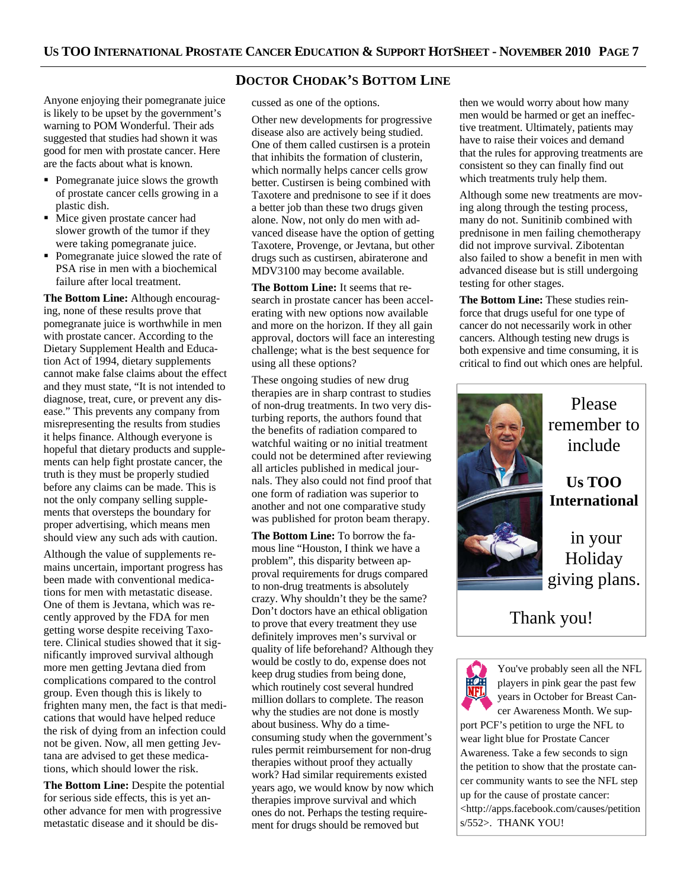**DOCTOR CHODAK'S BOTTOM LINE**

Anyone enjoying their pomegranate juice is likely to be upset by the government's warning to POM Wonderful. Their ads suggested that studies had shown it was good for men with prostate cancer. Here are the facts about what is known.

- Pomegranate juice slows the growth of prostate cancer cells growing in a plastic dish.
- Mice given prostate cancer had slower growth of the tumor if they were taking pomegranate juice.
- Pomegranate juice slowed the rate of PSA rise in men with a biochemical failure after local treatment.

**The Bottom Line:** Although encouraging, none of these results prove that pomegranate juice is worthwhile in men with prostate cancer. According to the Dietary Supplement Health and Education Act of 1994, dietary supplements cannot make false claims about the effect and they must state, "It is not intended to diagnose, treat, cure, or prevent any disease." This prevents any company from misrepresenting the results from studies it helps finance. Although everyone is hopeful that dietary products and supplements can help fight prostate cancer, the truth is they must be properly studied before any claims can be made. This is not the only company selling supplements that oversteps the boundary for proper advertising, which means men should view any such ads with caution.

Although the value of supplements remains uncertain, important progress has been made with conventional medications for men with metastatic disease. One of them is Jevtana, which was recently approved by the FDA for men getting worse despite receiving Taxotere. Clinical studies showed that it significantly improved survival although more men getting Jevtana died from complications compared to the control group. Even though this is likely to frighten many men, the fact is that medications that would have helped reduce the risk of dying from an infection could not be given. Now, all men getting Jevtana are advised to get these medications, which should lower the risk.

**The Bottom Line:** Despite the potential for serious side effects, this is yet another advance for men with progressive metastatic disease and it should be discussed as one of the options.

Other new developments for progressive disease also are actively being studied. One of them called custirsen is a protein that inhibits the formation of clusterin, which normally helps cancer cells grow better. Custirsen is being combined with Taxotere and prednisone to see if it does a better job than these two drugs given alone. Now, not only do men with advanced disease have the option of getting Taxotere, Provenge, or Jevtana, but other drugs such as custirsen, abiraterone and MDV3100 may become available.

**The Bottom Line:** It seems that research in prostate cancer has been accelerating with new options now available and more on the horizon. If they all gain approval, doctors will face an interesting challenge; what is the best sequence for using all these options?

These ongoing studies of new drug therapies are in sharp contrast to studies of non-drug treatments. In two very disturbing reports, the authors found that the benefits of radiation compared to watchful waiting or no initial treatment could not be determined after reviewing all articles published in medical journals. They also could not find proof that one form of radiation was superior to another and not one comparative study was published for proton beam therapy.

**The Bottom Line:** To borrow the famous line "Houston, I think we have a problem", this disparity between approval requirements for drugs compared to non-drug treatments is absolutely crazy. Why shouldn't they be the same? Don't doctors have an ethical obligation to prove that every treatment they use definitely improves men's survival or quality of life beforehand? Although they would be costly to do, expense does not keep drug studies from being done, which routinely cost several hundred million dollars to complete. The reason why the studies are not done is mostly about business. Why do a timeconsuming study when the government's rules permit reimbursement for non-drug therapies without proof they actually work? Had similar requirements existed years ago, we would know by now which therapies improve survival and which ones do not. Perhaps the testing requirement for drugs should be removed but

then we would worry about how many men would be harmed or get an ineffective treatment. Ultimately, patients may have to raise their voices and demand that the rules for approving treatments are consistent so they can finally find out which treatments truly help them.

Although some new treatments are moving along through the testing process, many do not. Sunitinib combined with prednisone in men failing chemotherapy did not improve survival. Zibotentan also failed to show a benefit in men with advanced disease but is still undergoing testing for other stages.

**The Bottom Line:** These studies reinforce that drugs useful for one type of cancer do not necessarily work in other cancers. Although testing new drugs is both expensive and time consuming, it is critical to find out which ones are helpful.



You've probably seen all the NFL players in pink gear the past few years in October for Breast Cancer Awareness Month. We support PCF's petition to urge the NFL to wear light blue for Prostate Cancer Awareness. Take a few seconds to sign the petition to show that the prostate cancer community wants to see the NFL step up for the cause of prostate cancer: <http://apps.facebook.com/causes/petition s/552>. THANK YOU!